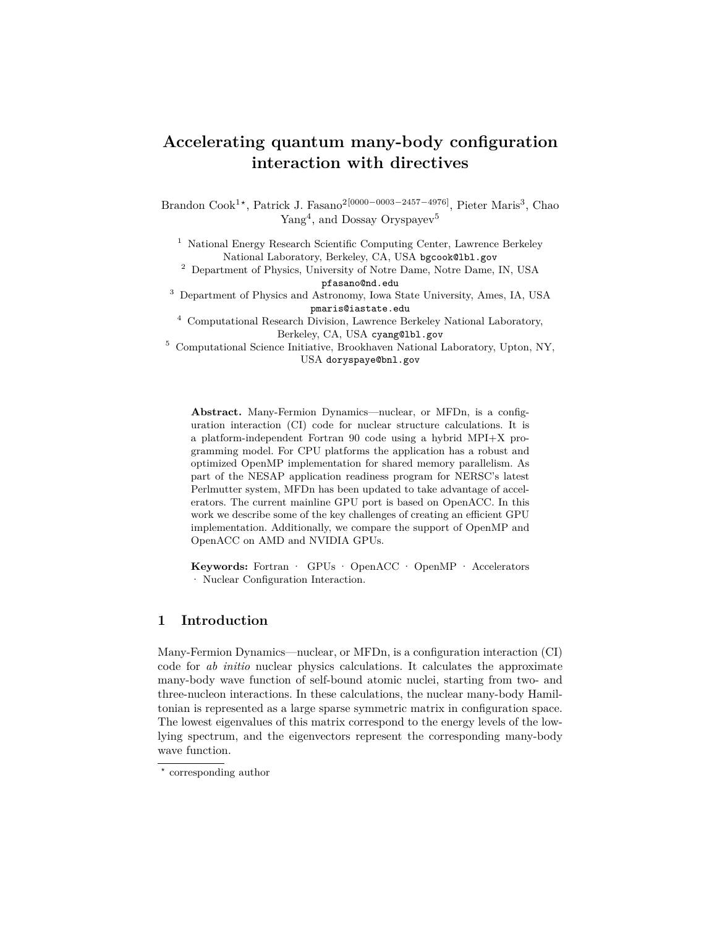# **Accelerating quantum many-body configuration interaction with directives**

Brandon Cook<sup>1</sup><sup>\*</sup>, Patrick J. Fasano<sup>2[0000–0003–2457–4976]</sup>, Pieter Maris<sup>3</sup>, Chao Yang<sup>4</sup>, and Dossay Oryspayev<sup>5</sup>

<sup>1</sup> National Energy Research Scientific Computing Center, Lawrence Berkeley National Laboratory, Berkeley, CA, USA bgcook@lbl.gov

<sup>2</sup> Department of Physics, University of Notre Dame, Notre Dame, IN, USA pfasano@nd.edu

<sup>3</sup> Department of Physics and Astronomy, Iowa State University, Ames, IA, USA pmaris@iastate.edu

<sup>4</sup> Computational Research Division, Lawrence Berkeley National Laboratory, Berkeley, CA, USA cyang@lbl.gov

<sup>5</sup> Computational Science Initiative, Brookhaven National Laboratory, Upton, NY, USA doryspaye@bnl.gov

**Abstract.** Many-Fermion Dynamics—nuclear, or MFDn, is a configuration interaction (CI) code for nuclear structure calculations. It is a platform-independent Fortran 90 code using a hybrid MPI+X programming model. For CPU platforms the application has a robust and optimized OpenMP implementation for shared memory parallelism. As part of the NESAP application readiness program for NERSC's latest Perlmutter system, MFDn has been updated to take advantage of accelerators. The current mainline GPU port is based on OpenACC. In this work we describe some of the key challenges of creating an efficient GPU implementation. Additionally, we compare the support of OpenMP and OpenACC on AMD and NVIDIA GPUs.

**Keywords:** Fortran · GPUs · OpenACC · OpenMP · Accelerators · Nuclear Configuration Interaction.

## **1 Introduction**

Many-Fermion Dynamics—nuclear, or MFDn, is a configuration interaction (CI) code for *ab initio* nuclear physics calculations. It calculates the approximate many-body wave function of self-bound atomic nuclei, starting from two- and three-nucleon interactions. In these calculations, the nuclear many-body Hamiltonian is represented as a large sparse symmetric matrix in configuration space. The lowest eigenvalues of this matrix correspond to the energy levels of the lowlying spectrum, and the eigenvectors represent the corresponding many-body wave function.

*<sup>?</sup>* corresponding author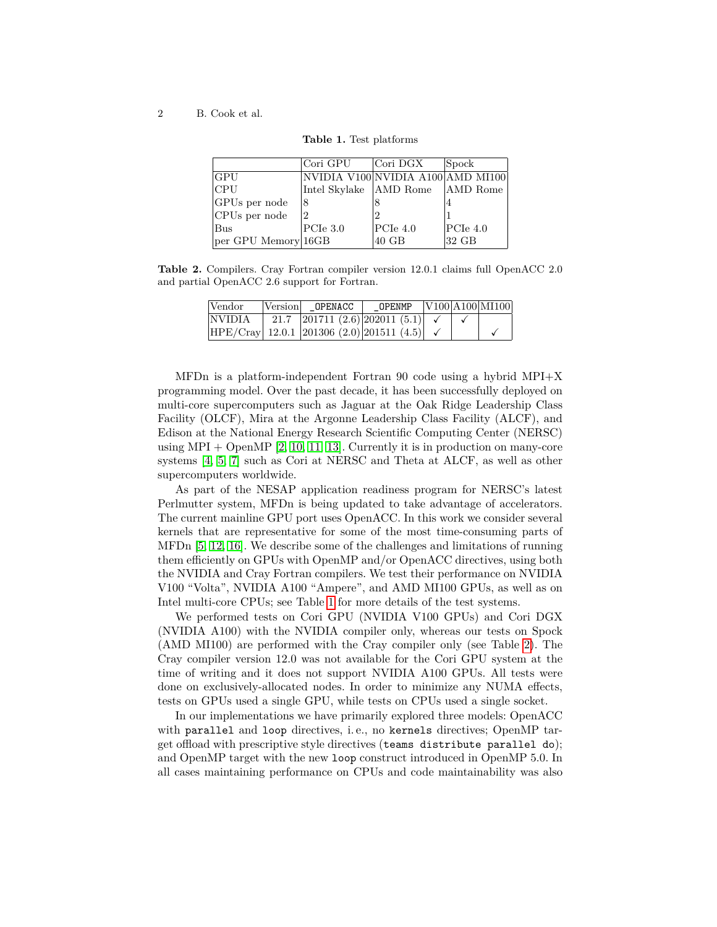<span id="page-1-0"></span>

|                     | Cori GPU                          | Cori DGX | <b>Spock</b> |
|---------------------|-----------------------------------|----------|--------------|
| GPU                 | NVIDIA V100 NVIDIA A100 AMD MI100 |          |              |
| CPU                 | Intel Skylake AMD Rome            |          | AMD Rome     |
| GPUs per node       | 18                                |          | 4            |
| CPUs per node       |                                   |          |              |
| Bus                 | PCIe~3.0                          | PCIe 4.0 | PCIe 4.0     |
| per GPU Memory 16GB |                                   | 40 GB    | 32 GB        |
|                     |                                   |          |              |

**Table 1.** Test platforms

<span id="page-1-1"></span>**Table 2.** Compilers. Cray Fortran compiler version 12.0.1 claims full OpenACC 2.0 and partial OpenACC 2.6 support for Fortran.

| Vendor | Version OPENACC                                          | OPENMP |  | V100 A100 M1100 |
|--------|----------------------------------------------------------|--------|--|-----------------|
| NVIDIA | 21.7 201711 $(2.6)$ 202011 $(5.1)$ $\checkmark$          |        |  |                 |
|        | $HPE/Cray$ 12.0.1 201306 (2.0) 201511 (4.5) $\checkmark$ |        |  |                 |

MFDn is a platform-independent Fortran 90 code using a hybrid MPI+X programming model. Over the past decade, it has been successfully deployed on multi-core supercomputers such as Jaguar at the Oak Ridge Leadership Class Facility (OLCF), Mira at the Argonne Leadership Class Facility (ALCF), and Edison at the National Energy Research Scientific Computing Center (NERSC) using  $MPI + OpenMP [2, 10, 11, 13]$  $MPI + OpenMP [2, 10, 11, 13]$  $MPI + OpenMP [2, 10, 11, 13]$  $MPI + OpenMP [2, 10, 11, 13]$  $MPI + OpenMP [2, 10, 11, 13]$ . Currently it is in production on many-core systems [\[4,](#page-21-3) [5,](#page-21-4) [7\]](#page-21-5) such as Cori at NERSC and Theta at ALCF, as well as other supercomputers worldwide.

As part of the NESAP application readiness program for NERSC's latest Perlmutter system, MFDn is being updated to take advantage of accelerators. The current mainline GPU port uses OpenACC. In this work we consider several kernels that are representative for some of the most time-consuming parts of MFDn [\[5,](#page-21-4) [12,](#page-21-6) [16\]](#page-22-1). We describe some of the challenges and limitations of running them efficiently on GPUs with OpenMP and/or OpenACC directives, using both the NVIDIA and Cray Fortran compilers. We test their performance on NVIDIA V100 "Volta", NVIDIA A100 "Ampere", and AMD MI100 GPUs, as well as on Intel multi-core CPUs; see Table [1](#page-1-0) for more details of the test systems.

We performed tests on Cori GPU (NVIDIA V100 GPUs) and Cori DGX (NVIDIA A100) with the NVIDIA compiler only, whereas our tests on Spock (AMD MI100) are performed with the Cray compiler only (see Table [2\)](#page-1-1). The Cray compiler version 12.0 was not available for the Cori GPU system at the time of writing and it does not support NVIDIA A100 GPUs. All tests were done on exclusively-allocated nodes. In order to minimize any NUMA effects, tests on GPUs used a single GPU, while tests on CPUs used a single socket.

In our implementations we have primarily explored three models: OpenACC with parallel and loop directives, i. e., no kernels directives; OpenMP target offload with prescriptive style directives (teams distribute parallel do); and OpenMP target with the new loop construct introduced in OpenMP 5.0. In all cases maintaining performance on CPUs and code maintainability was also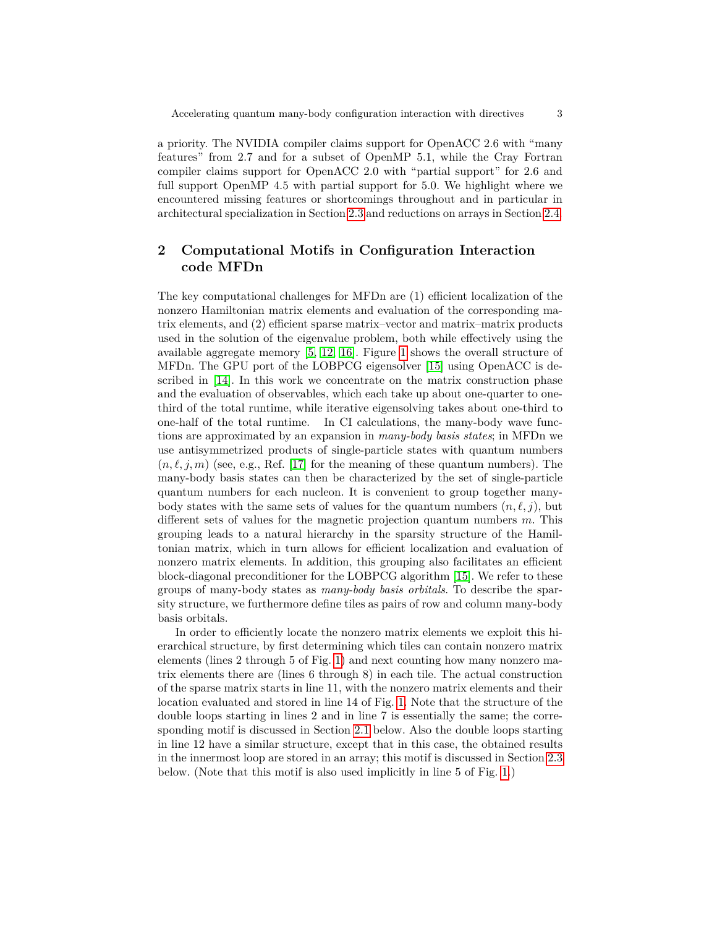a priority. The NVIDIA compiler claims support for OpenACC 2.6 with "many features" from 2.7 and for a subset of OpenMP 5.1, while the Cray Fortran compiler claims support for OpenACC 2.0 with "partial support" for 2.6 and full support OpenMP 4.5 with partial support for 5.0. We highlight where we encountered missing features or shortcomings throughout and in particular in architectural specialization in Section [2.3](#page-12-0) and reductions on arrays in Section [2.4.](#page-13-0)

## **2 Computational Motifs in Configuration Interaction code MFDn**

The key computational challenges for MFDn are (1) efficient localization of the nonzero Hamiltonian matrix elements and evaluation of the corresponding matrix elements, and (2) efficient sparse matrix–vector and matrix–matrix products used in the solution of the eigenvalue problem, both while effectively using the available aggregate memory [\[5,](#page-21-4) [12,](#page-21-6) [16\]](#page-22-1). Figure [1](#page-3-0) shows the overall structure of MFDn. The GPU port of the LOBPCG eigensolver [\[15\]](#page-22-2) using OpenACC is described in [\[14\]](#page-22-3). In this work we concentrate on the matrix construction phase and the evaluation of observables, which each take up about one-quarter to onethird of the total runtime, while iterative eigensolving takes about one-third to one-half of the total runtime. In CI calculations, the many-body wave functions are approximated by an expansion in *many-body basis states*; in MFDn we use antisymmetrized products of single-particle states with quantum numbers  $(n, \ell, j, m)$  (see, e.g., Ref. [\[17\]](#page-22-4) for the meaning of these quantum numbers). The many-body basis states can then be characterized by the set of single-particle quantum numbers for each nucleon. It is convenient to group together manybody states with the same sets of values for the quantum numbers  $(n, \ell, j)$ , but different sets of values for the magnetic projection quantum numbers *m*. This grouping leads to a natural hierarchy in the sparsity structure of the Hamiltonian matrix, which in turn allows for efficient localization and evaluation of nonzero matrix elements. In addition, this grouping also facilitates an efficient block-diagonal preconditioner for the LOBPCG algorithm [\[15\]](#page-22-2). We refer to these groups of many-body states as *many-body basis orbitals*. To describe the sparsity structure, we furthermore define tiles as pairs of row and column many-body basis orbitals.

In order to efficiently locate the nonzero matrix elements we exploit this hierarchical structure, by first determining which tiles can contain nonzero matrix elements (lines 2 through 5 of Fig. [1\)](#page-3-0) and next counting how many nonzero matrix elements there are (lines 6 through 8) in each tile. The actual construction of the sparse matrix starts in line 11, with the nonzero matrix elements and their location evaluated and stored in line 14 of Fig. [1.](#page-3-0) Note that the structure of the double loops starting in lines 2 and in line 7 is essentially the same; the corresponding motif is discussed in Section [2.1](#page-4-0) below. Also the double loops starting in line 12 have a similar structure, except that in this case, the obtained results in the innermost loop are stored in an array; this motif is discussed in Section [2.3](#page-12-0) below. (Note that this motif is also used implicitly in line 5 of Fig. [1.](#page-3-0))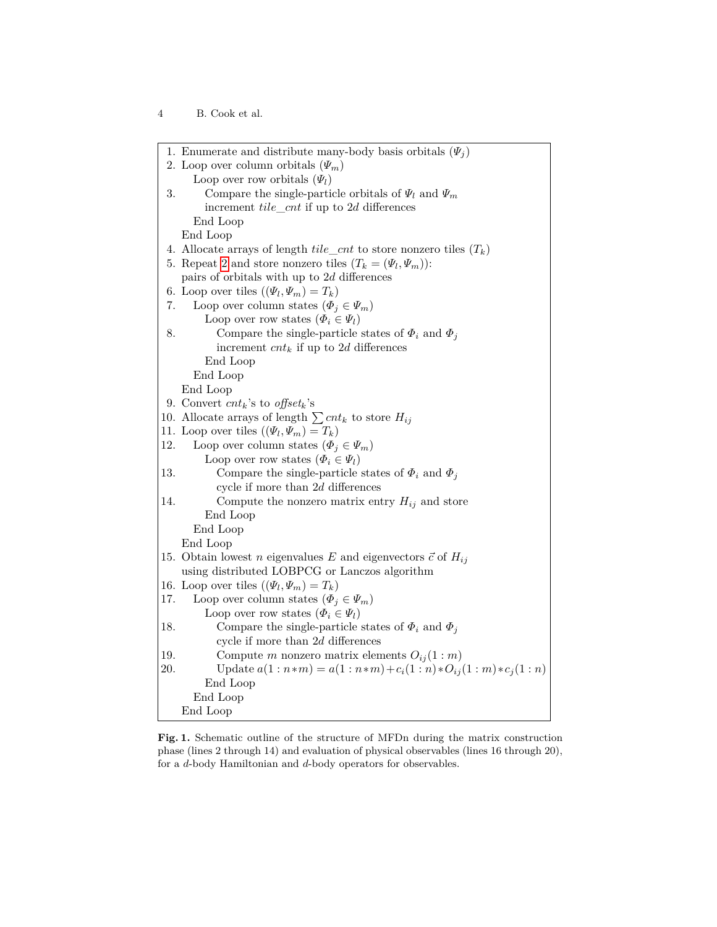<sup>4</sup> B. Cook et al.

<span id="page-3-1"></span><span id="page-3-0"></span>

|     | 1. Enumerate and distribute many-body basis orbitals $(\Psi_j)$                 |
|-----|---------------------------------------------------------------------------------|
|     | 2. Loop over column orbitals $(\varPsi_m)$                                      |
|     | Loop over row orbitals $(\varPsi_l)$                                            |
| 3.  | Compare the single-particle orbitals of $\Psi_l$ and $\Psi_m$                   |
|     | increment $tile\_cnt$ if up to 2d differences                                   |
|     | End Loop                                                                        |
|     | End Loop                                                                        |
|     | 4. Allocate arrays of length $tile\_cnt$ to store nonzero tiles $(T_k)$         |
|     | 5. Repeat 2 and store nonzero tiles $(T_k = (\Psi_l, \Psi_m))$ :                |
|     | pairs of orbitals with up to $2d$ differences                                   |
|     | 6. Loop over tiles $((\Psi_l, \Psi_m) = T_k)$                                   |
| 7.  | Loop over column states $(\Phi_j \in \Psi_m)$                                   |
|     | Loop over row states $(\Phi_i \in \Psi_l)$                                      |
| 8.  | Compare the single-particle states of $\Phi_i$ and $\Phi_j$                     |
|     | increment $cnt_k$ if up to 2d differences                                       |
|     | End Loop                                                                        |
|     | End Loop                                                                        |
|     | End Loop                                                                        |
|     | 9. Convert $cnt_k$ 's to offset <sub>k</sub> 's                                 |
|     | 10. Allocate arrays of length $\sum_{i} c_n t_k$ to store $H_{ij}$              |
|     | 11. Loop over tiles $((\Psi_l, \Psi_m) = T_k)$                                  |
| 12. | Loop over column states $(\Phi_j \in \Psi_m)$                                   |
|     | Loop over row states $(\Phi_i \in \Psi_l)$                                      |
| 13. | Compare the single-particle states of $\Phi_i$ and $\Phi_j$                     |
|     | cycle if more than $2d$ differences                                             |
| 14. | Compute the nonzero matrix entry $H_{ij}$ and store                             |
|     | End Loop                                                                        |
|     | End Loop                                                                        |
|     | End Loop                                                                        |
|     | 15. Obtain lowest <i>n</i> eigenvalues E and eigenvectors $\vec{c}$ of $H_{ij}$ |
|     | using distributed LOBPCG or Lanczos algorithm                                   |
|     | 16. Loop over tiles $((\Psi_l, \Psi_m) = T_k)$                                  |
| 17. | Loop over column states $(\Phi_j \in \Psi_m)$                                   |
|     | Loop over row states $(\Phi_i \in \Psi_l)$                                      |
| 18. | Compare the single-particle states of $\Phi_i$ and $\Phi_j$                     |
|     | cycle if more than $2d$ differences                                             |
| 19. | Compute m nonzero matrix elements $O_{ij}(1:m)$                                 |
| 20. | Update $a(1:n*m) = a(1:n*m) + c_i(1:n)*O_{ij}(1:m)*c_j(1:n)$                    |
|     | End Loop                                                                        |
|     | End Loop                                                                        |
|     | End Loop                                                                        |
|     |                                                                                 |

**Fig. 1.** Schematic outline of the structure of MFDn during the matrix construction phase (lines 2 through 14) and evaluation of physical observables (lines 16 through 20), for a *d*-body Hamiltonian and *d*-body operators for observables.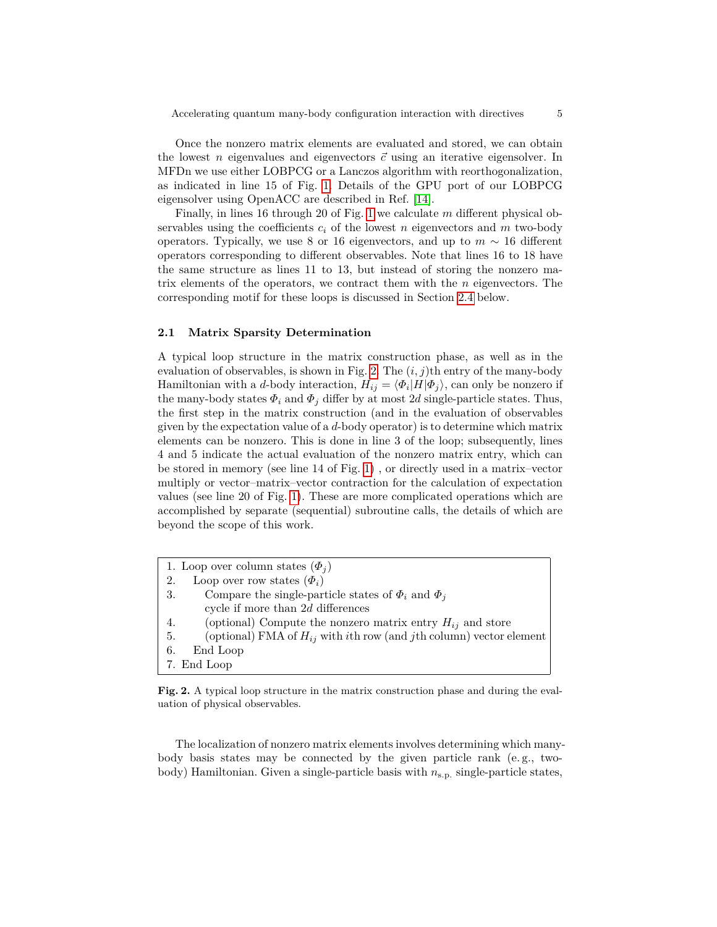Once the nonzero matrix elements are evaluated and stored, we can obtain the lowest *n* eigenvalues and eigenvectors  $\vec{c}$  using an iterative eigensolver. In MFDn we use either LOBPCG or a Lanczos algorithm with reorthogonalization, as indicated in line 15 of Fig. [1.](#page-3-0) Details of the GPU port of our LOBPCG eigensolver using OpenACC are described in Ref. [\[14\]](#page-22-3).

Finally, in lines 16 through 20 of Fig. [1](#page-3-0) we calculate *m* different physical observables using the coefficients  $c_i$  of the lowest *n* eigenvectors and *m* two-body operators. Typically, we use 8 or 16 eigenvectors, and up to *m* ∼ 16 different operators corresponding to different observables. Note that lines 16 to 18 have the same structure as lines 11 to 13, but instead of storing the nonzero matrix elements of the operators, we contract them with the *n* eigenvectors. The corresponding motif for these loops is discussed in Section [2.4](#page-13-0) below.

#### <span id="page-4-0"></span>**2.1 Matrix Sparsity Determination**

A typical loop structure in the matrix construction phase, as well as in the evaluation of observables, is shown in Fig. [2.](#page-4-1) The  $(i, j)$ <sup>th</sup> entry of the many-body Hamiltonian with a *d*-body interaction,  $H_{ij} = \langle \Phi_i | H | \Phi_j \rangle$ , can only be nonzero if the many-body states  $\Phi_i$  and  $\Phi_j$  differ by at most 2*d* single-particle states. Thus, the first step in the matrix construction (and in the evaluation of observables given by the expectation value of a *d*-body operator) is to determine which matrix elements can be nonzero. This is done in line 3 of the loop; subsequently, lines 4 and 5 indicate the actual evaluation of the nonzero matrix entry, which can be stored in memory (see line 14 of Fig. [1\)](#page-3-0) , or directly used in a matrix–vector multiply or vector–matrix–vector contraction for the calculation of expectation values (see line 20 of Fig. [1\)](#page-3-0). These are more complicated operations which are accomplished by separate (sequential) subroutine calls, the details of which are beyond the scope of this work.

- 1. Loop over column states  $(\Phi_i)$
- 2. Loop over row states  $(\Phi_i)$
- <span id="page-4-1"></span>3. Compare the single-particle states of *Φ<sup>i</sup>* and *Φ<sup>j</sup>* cycle if more than 2*d* differences
- 4. (optional) Compute the nonzero matrix entry  $H_{ij}$  and store
- 5. (optional) FMA of *Hij* with *i*th row (and *j*th column) vector element
- 6. End Loop
- 7. End Loop

**Fig. 2.** A typical loop structure in the matrix construction phase and during the evaluation of physical observables.

The localization of nonzero matrix elements involves determining which manybody basis states may be connected by the given particle rank (e. g., twobody) Hamiltonian. Given a single-particle basis with  $n_{s.p.}$  single-particle states,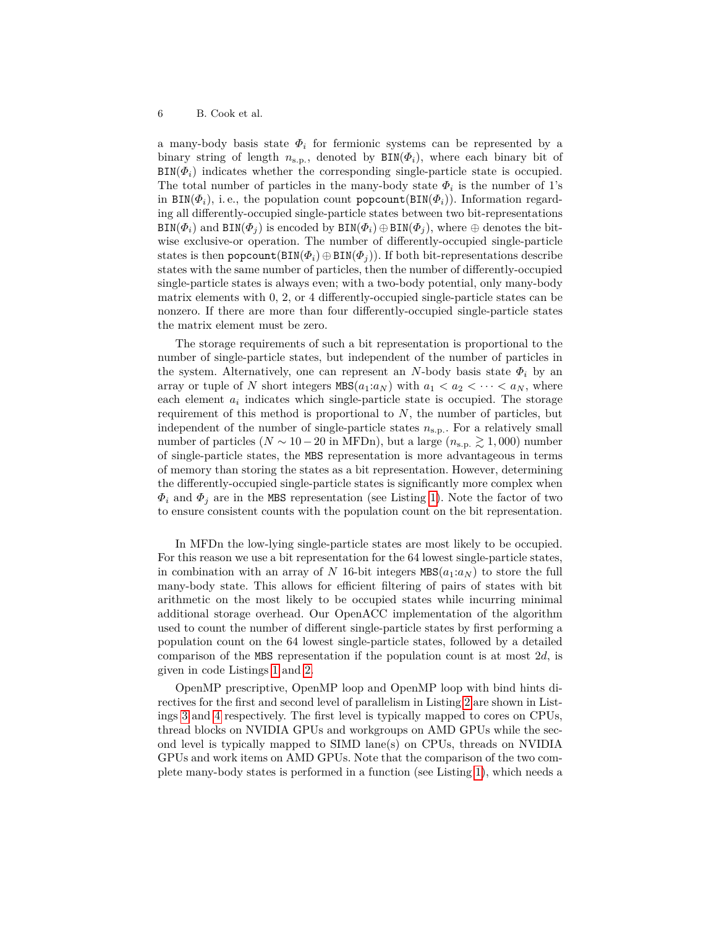a many-body basis state  $\Phi_i$  for fermionic systems can be represented by a binary string of length  $n_{\text{s.p.}}$ , denoted by  $\text{BIN}(\Phi_i)$ , where each binary bit of  $BIN(\Phi_i)$  indicates whether the corresponding single-particle state is occupied. The total number of particles in the many-body state  $\Phi_i$  is the number of 1's in  $\text{BIN}(\Phi_i)$ , i.e., the population count popcount  $(\text{BIN}(\Phi_i))$ . Information regarding all differently-occupied single-particle states between two bit-representations  $\text{BIN}(\Phi_i)$  and  $\text{BIN}(\Phi_j)$  is encoded by  $\text{BIN}(\Phi_i) \oplus \text{BIN}(\Phi_j)$ , where  $\oplus$  denotes the bitwise exclusive-or operation. The number of differently-occupied single-particle states is then popcount( $BIN(\Phi_i) \oplus BIN(\Phi_j)$ ). If both bit-representations describe states with the same number of particles, then the number of differently-occupied single-particle states is always even; with a two-body potential, only many-body matrix elements with 0, 2, or 4 differently-occupied single-particle states can be nonzero. If there are more than four differently-occupied single-particle states the matrix element must be zero.

The storage requirements of such a bit representation is proportional to the number of single-particle states, but independent of the number of particles in the system. Alternatively, one can represent an *N*-body basis state  $\Phi_i$  by an array or tuple of *N* short integers  $MBS(a_1:a_N)$  with  $a_1 < a_2 < \cdots < a_N$ , where each element  $a_i$  indicates which single-particle state is occupied. The storage requirement of this method is proportional to *N*, the number of particles, but independent of the number of single-particle states *n*s*.*p*.* . For a relatively small number of particles ( $N \sim 10-20$  in MFDn), but a large ( $n_{\rm s.p.} \gtrsim 1,000$ ) number of single-particle states, the MBS representation is more advantageous in terms of memory than storing the states as a bit representation. However, determining the differently-occupied single-particle states is significantly more complex when  $\Phi_i$  and  $\Phi_j$  are in the MBS representation (see Listing [1\)](#page-6-0). Note the factor of two to ensure consistent counts with the population count on the bit representation.

In MFDn the low-lying single-particle states are most likely to be occupied. For this reason we use a bit representation for the 64 lowest single-particle states, in combination with an array of *N* 16-bit integers  $MBS(a_1:a_N)$  to store the full many-body state. This allows for efficient filtering of pairs of states with bit arithmetic on the most likely to be occupied states while incurring minimal additional storage overhead. Our OpenACC implementation of the algorithm used to count the number of different single-particle states by first performing a population count on the 64 lowest single-particle states, followed by a detailed comparison of the MBS representation if the population count is at most 2*d*, is given in code Listings [1](#page-6-0) and [2.](#page-6-1)

OpenMP prescriptive, OpenMP loop and OpenMP loop with bind hints directives for the first and second level of parallelism in Listing [2](#page-6-1) are shown in Listings [3](#page-7-0) and [4](#page-7-1) respectively. The first level is typically mapped to cores on CPUs, thread blocks on NVIDIA GPUs and workgroups on AMD GPUs while the second level is typically mapped to SIMD lane(s) on CPUs, threads on NVIDIA GPUs and work items on AMD GPUs. Note that the comparison of the two complete many-body states is performed in a function (see Listing [1\)](#page-6-0), which needs a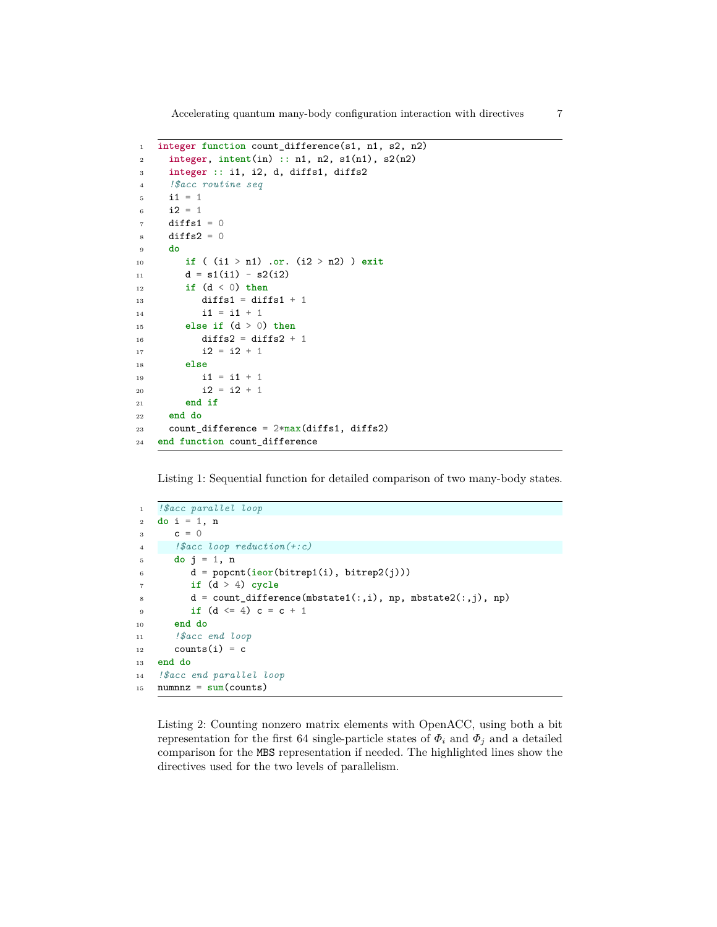Accelerating quantum many-body configuration interaction with directives

```
1 integer function count_difference(s1, n1, s2, n2)
2 integer, intent(in) :: n1, n2, s1(n1), s2(n2)
3 integer :: i1, i2, d, diffs1, diffs2
4 !$acc routine seq
5 i1 = 1
6 i2 = 17 diffs1 = 0
\sinh 2 = 09 do
10 if ( (i1 > n1) .or. (i2 > n2) ) exit
11 d = s1(i1) - s2(i2)12 if (d < 0) then
13 diffs1 = diffs1 + 1
14 i1 = i1 + 1
15 else if (d > 0) then
16 diffs2 = diffs2 + 1
17 12 = 12 + 118 else
19 i1 = i1 + 1
20 i2 = i2 + 121 end if
22 end do
23 count_difference = 2*max(diffs1, diffs2)
24 end function count_difference
```
<span id="page-6-0"></span>Listing 1: Sequential function for detailed comparison of two many-body states.

```
1 !$acc parallel loop
2 do i = 1, n
3 c = 04 !$acc loop reduction(+:c)
5 do j = 1, n6 d = popcnt(ieor(bitrep1(i), bitrep2(j)))
7 if (d > 4) cycle
\mathtt{d = count\_difference(mbstate1(:,i), np, mbstate2(:,j), np)}9 if (d \le 4) c = c + 110 end do
11 !$acc end loop
12 counts(i) = c
13 end do
14 !$acc end parallel loop
15 numnnz = sum(counts)
```
<span id="page-6-1"></span>Listing 2: Counting nonzero matrix elements with OpenACC, using both a bit representation for the first 64 single-particle states of  $\Phi_i$  and  $\Phi_j$  and a detailed comparison for the MBS representation if needed. The highlighted lines show the directives used for the two levels of parallelism.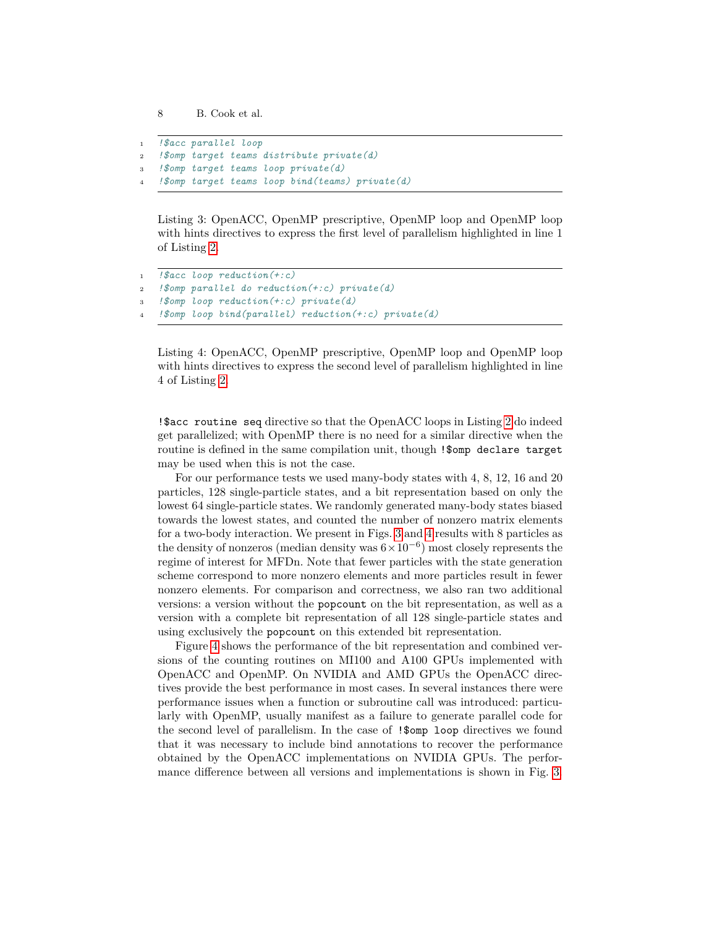```
1 !$acc parallel loop
2 !$omp target teams distribute private(d)
3 !$omp target teams loop private(d)
   4 !$omp target teams loop bind(teams) private(d)
```
<span id="page-7-0"></span>Listing 3: OpenACC, OpenMP prescriptive, OpenMP loop and OpenMP loop with hints directives to express the first level of parallelism highlighted in line 1 of Listing [2.](#page-6-1)

```
1 !$acc loop reduction(+:c)
2 !$omp parallel do reduction(+:c) private(d)
3 !$omp loop reduction(+:c) private(d)
   4 !$omp loop bind(parallel) reduction(+:c) private(d)
```
<span id="page-7-1"></span>Listing 4: OpenACC, OpenMP prescriptive, OpenMP loop and OpenMP loop with hints directives to express the second level of parallelism highlighted in line 4 of Listing [2.](#page-6-1)

!\$acc routine seq directive so that the OpenACC loops in Listing [2](#page-6-1) do indeed get parallelized; with OpenMP there is no need for a similar directive when the routine is defined in the same compilation unit, though !\$omp declare target may be used when this is not the case.

For our performance tests we used many-body states with 4, 8, 12, 16 and 20 particles, 128 single-particle states, and a bit representation based on only the lowest 64 single-particle states. We randomly generated many-body states biased towards the lowest states, and counted the number of nonzero matrix elements for a two-body interaction. We present in Figs. [3](#page-8-0) and [4](#page-8-1) results with 8 particles as the density of nonzeros (median density was  $6 \times 10^{-6}$ ) most closely represents the regime of interest for MFDn. Note that fewer particles with the state generation scheme correspond to more nonzero elements and more particles result in fewer nonzero elements. For comparison and correctness, we also ran two additional versions: a version without the popcount on the bit representation, as well as a version with a complete bit representation of all 128 single-particle states and using exclusively the popcount on this extended bit representation.

Figure [4](#page-8-1) shows the performance of the bit representation and combined versions of the counting routines on MI100 and A100 GPUs implemented with OpenACC and OpenMP. On NVIDIA and AMD GPUs the OpenACC directives provide the best performance in most cases. In several instances there were performance issues when a function or subroutine call was introduced: particularly with OpenMP, usually manifest as a failure to generate parallel code for the second level of parallelism. In the case of !\$omp loop directives we found that it was necessary to include bind annotations to recover the performance obtained by the OpenACC implementations on NVIDIA GPUs. The performance difference between all versions and implementations is shown in Fig. [3.](#page-8-0)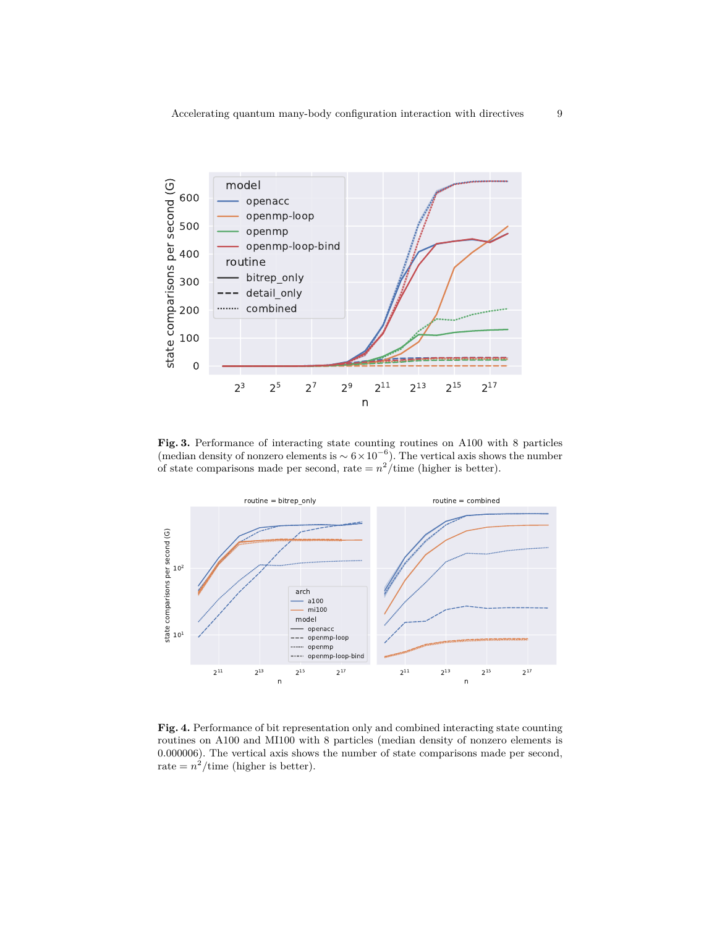

<span id="page-8-0"></span>**Fig. 3.** Performance of interacting state counting routines on A100 with 8 particles (median density of nonzero elements is  $\sim 6 \times 10^{-6}$ ). The vertical axis shows the number of state comparisons made per second, rate  $= n^2$ /time (higher is better).



<span id="page-8-1"></span>**Fig. 4.** Performance of bit representation only and combined interacting state counting routines on A100 and MI100 with 8 particles (median density of nonzero elements is 0*.*000006). The vertical axis shows the number of state comparisons made per second, rate  $= n^2$ /time (higher is better).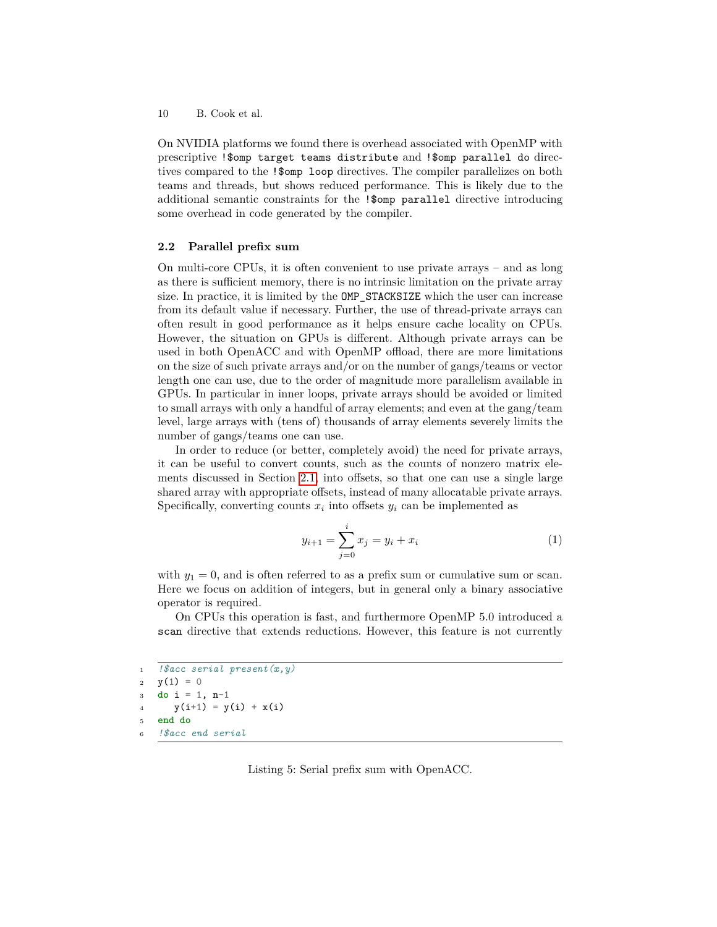On NVIDIA platforms we found there is overhead associated with OpenMP with prescriptive !\$omp target teams distribute and !\$omp parallel do directives compared to the !\$omp loop directives. The compiler parallelizes on both teams and threads, but shows reduced performance. This is likely due to the additional semantic constraints for the !\$omp parallel directive introducing some overhead in code generated by the compiler.

#### <span id="page-9-1"></span>**2.2 Parallel prefix sum**

On multi-core CPUs, it is often convenient to use private arrays – and as long as there is sufficient memory, there is no intrinsic limitation on the private array size. In practice, it is limited by the OMP\_STACKSIZE which the user can increase from its default value if necessary. Further, the use of thread-private arrays can often result in good performance as it helps ensure cache locality on CPUs. However, the situation on GPUs is different. Although private arrays can be used in both OpenACC and with OpenMP offload, there are more limitations on the size of such private arrays and/or on the number of gangs/teams or vector length one can use, due to the order of magnitude more parallelism available in GPUs. In particular in inner loops, private arrays should be avoided or limited to small arrays with only a handful of array elements; and even at the gang/team level, large arrays with (tens of) thousands of array elements severely limits the number of gangs/teams one can use.

In order to reduce (or better, completely avoid) the need for private arrays, it can be useful to convert counts, such as the counts of nonzero matrix elements discussed in Section [2.1,](#page-4-0) into offsets, so that one can use a single large shared array with appropriate offsets, instead of many allocatable private arrays. Specifically, converting counts  $x_i$  into offsets  $y_i$  can be implemented as

$$
y_{i+1} = \sum_{j=0}^{i} x_j = y_i + x_i \tag{1}
$$

with  $y_1 = 0$ , and is often referred to as a prefix sum or cumulative sum or scan. Here we focus on addition of integers, but in general only a binary associative operator is required.

On CPUs this operation is fast, and furthermore OpenMP 5.0 introduced a scan directive that extends reductions. However, this feature is not currently

```
1 !$acc serial present(x,y)
2 y(1) = 03 do i = 1, n-1
      y(i+1) = y(i) + x(i)5 end do
6 !$acc end serial
```
<span id="page-9-0"></span>Listing 5: Serial prefix sum with OpenACC.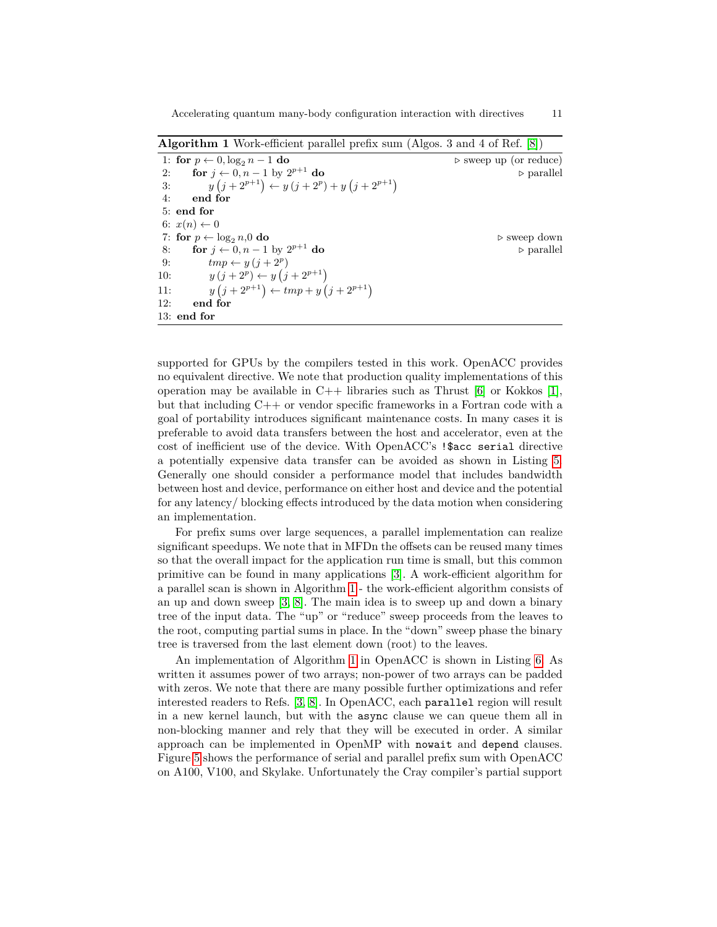<span id="page-10-0"></span>1: **for**  $p \leftarrow 0$ ,  $\log_2 n - 1$  **do**  $\geq$  sweep up (or reduce)<br>2: **for**  $j \leftarrow 0, n - 1$  by  $2^{p+1}$  **do**  $\geq$  parallel **for**  $j$  ← 0,  $n-1$  by  $2^{p+1}$  **do** *<sup>p</sup>*+1 **do** *.* parallel 3:  $y(j+2^{p+1}) \leftarrow y(j+2^p) + y(j+2^{p+1})$ 4: **end for** 5: **end for** 6:  $x(n) \leftarrow 0$ 7: **for**  $p \leftarrow \log_2 n, 0$  **do .** Sweep down 8: **for**  $j \leftarrow 0, n-1$  by  $2^{p+1}$  do *<sup>p</sup>*+1 **do** *.* parallel 9:  $tmp \leftarrow y (j + 2^p)$ 10:  $y(j+2^p) \leftarrow y(j+2^{p+1})$ 11: *y*  $(j + 2^{p+1}) \leftarrow tmp + y (j + 2^{p+1})$ 12: **end for** 13: **end for**

**Algorithm 1** Work-efficient parallel prefix sum (Algos. 3 and 4 of Ref. [\[8\]](#page-21-7))

supported for GPUs by the compilers tested in this work. OpenACC provides no equivalent directive. We note that production quality implementations of this operation may be available in  $C++$  libraries such as Thrust [\[6\]](#page-21-8) or Kokkos [\[1\]](#page-21-9), but that including C++ or vendor specific frameworks in a Fortran code with a goal of portability introduces significant maintenance costs. In many cases it is preferable to avoid data transfers between the host and accelerator, even at the cost of inefficient use of the device. With OpenACC's !\$acc serial directive a potentially expensive data transfer can be avoided as shown in Listing [5.](#page-9-0) Generally one should consider a performance model that includes bandwidth between host and device, performance on either host and device and the potential for any latency/ blocking effects introduced by the data motion when considering an implementation.

For prefix sums over large sequences, a parallel implementation can realize significant speedups. We note that in MFDn the offsets can be reused many times so that the overall impact for the application run time is small, but this common primitive can be found in many applications [\[3\]](#page-21-10). A work-efficient algorithm for a parallel scan is shown in Algorithm [1](#page-10-0) - the work-efficient algorithm consists of an up and down sweep [\[3,](#page-21-10) [8\]](#page-21-7). The main idea is to sweep up and down a binary tree of the input data. The "up" or "reduce" sweep proceeds from the leaves to the root, computing partial sums in place. In the "down" sweep phase the binary tree is traversed from the last element down (root) to the leaves.

An implementation of Algorithm [1](#page-10-0) in OpenACC is shown in Listing [6.](#page-11-0) As written it assumes power of two arrays; non-power of two arrays can be padded with zeros. We note that there are many possible further optimizations and refer interested readers to Refs. [\[3,](#page-21-10) [8\]](#page-21-7). In OpenACC, each parallel region will result in a new kernel launch, but with the async clause we can queue them all in non-blocking manner and rely that they will be executed in order. A similar approach can be implemented in OpenMP with nowait and depend clauses. Figure [5](#page-12-1) shows the performance of serial and parallel prefix sum with OpenACC on A100, V100, and Skylake. Unfortunately the Cray compiler's partial support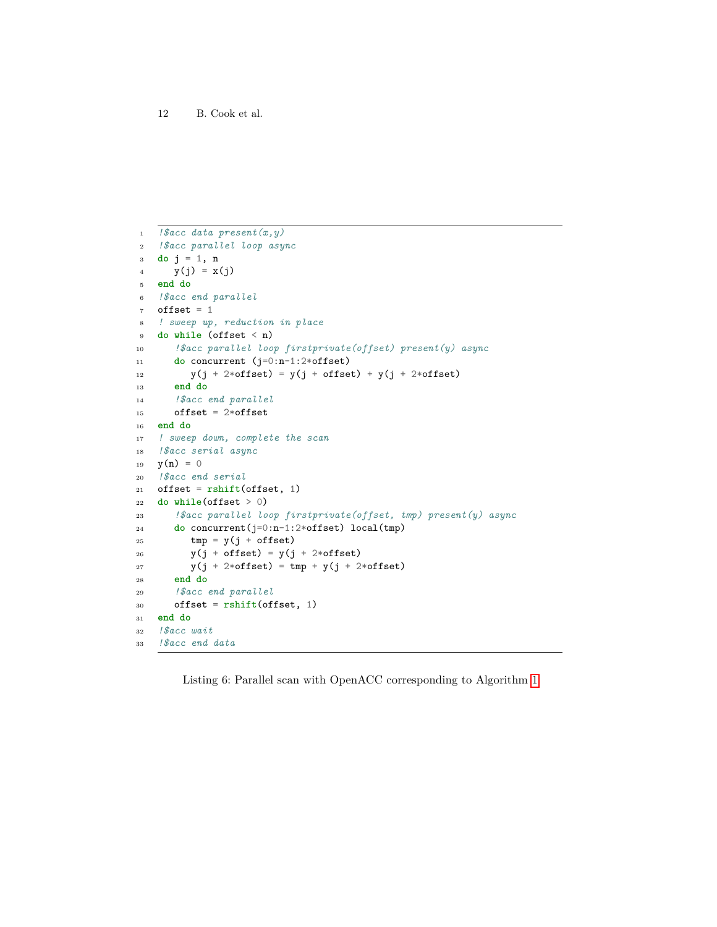```
1 !$acc data present(x,y)
2 !$acc parallel loop async
3 do j = 1, n
4 y(j) = x(j)5 end do
6 !$acc end parallel
7 offset = 1
8 ! sweep up, reduction in place
9 do while (offset < n)
10 !$acc parallel loop firstprivate(offset) present(y) async
11 do concurrent (j=0:n-1:2*offset)
12 y(j + 2*)offset) = y(j + 0)ffset) + y(j + 2*)offset)
13 end do
14 !$acc end parallel
15 offset = 2*offset
16 end do
17 ! sweep down, complete the scan
18 !$acc serial async
19 y(n) = 020 !$acc end serial
21 offset = rshift(offset, 1)22 do while(offset > 0)
23 !$acc parallel loop firstprivate(offset, tmp) present(y) async
24 do concurrent(j=0:n-1:2*offset) local(tmp)
25 tmp = y(j + \text{offset})26 y(j + offset) = y(j + 2*offset)
27 y(j + 2*offset) = tmp + y(j + 2*offset)28 end do
29 !$acc end parallel
30 offset = rshift(offset, 1)
31 end do
32 !$acc wait
33 !$acc end data
```
<span id="page-11-0"></span>Listing 6: Parallel scan with OpenACC corresponding to Algorithm [1](#page-10-0)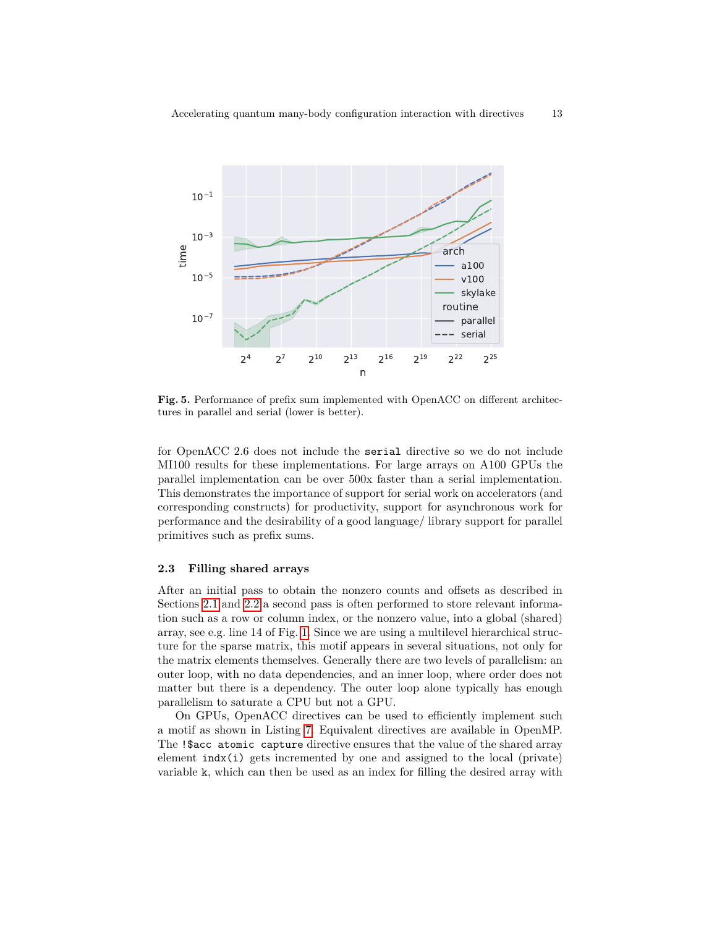

<span id="page-12-1"></span>**Fig. 5.** Performance of prefix sum implemented with OpenACC on different architectures in parallel and serial (lower is better).

for OpenACC 2.6 does not include the serial directive so we do not include MI100 results for these implementations. For large arrays on A100 GPUs the parallel implementation can be over 500x faster than a serial implementation. This demonstrates the importance of support for serial work on accelerators (and corresponding constructs) for productivity, support for asynchronous work for performance and the desirability of a good language/ library support for parallel primitives such as prefix sums.

#### <span id="page-12-0"></span>**2.3 Filling shared arrays**

After an initial pass to obtain the nonzero counts and offsets as described in Sections [2.1](#page-4-0) and [2.2](#page-9-1) a second pass is often performed to store relevant information such as a row or column index, or the nonzero value, into a global (shared) array, see e.g. line 14 of Fig. [1.](#page-3-0) Since we are using a multilevel hierarchical structure for the sparse matrix, this motif appears in several situations, not only for the matrix elements themselves. Generally there are two levels of parallelism: an outer loop, with no data dependencies, and an inner loop, where order does not matter but there is a dependency. The outer loop alone typically has enough parallelism to saturate a CPU but not a GPU.

On GPUs, OpenACC directives can be used to efficiently implement such a motif as shown in Listing [7.](#page-13-1) Equivalent directives are available in OpenMP. The !\$acc atomic capture directive ensures that the value of the shared array element indx(i) gets incremented by one and assigned to the local (private) variable k, which can then be used as an index for filling the desired array with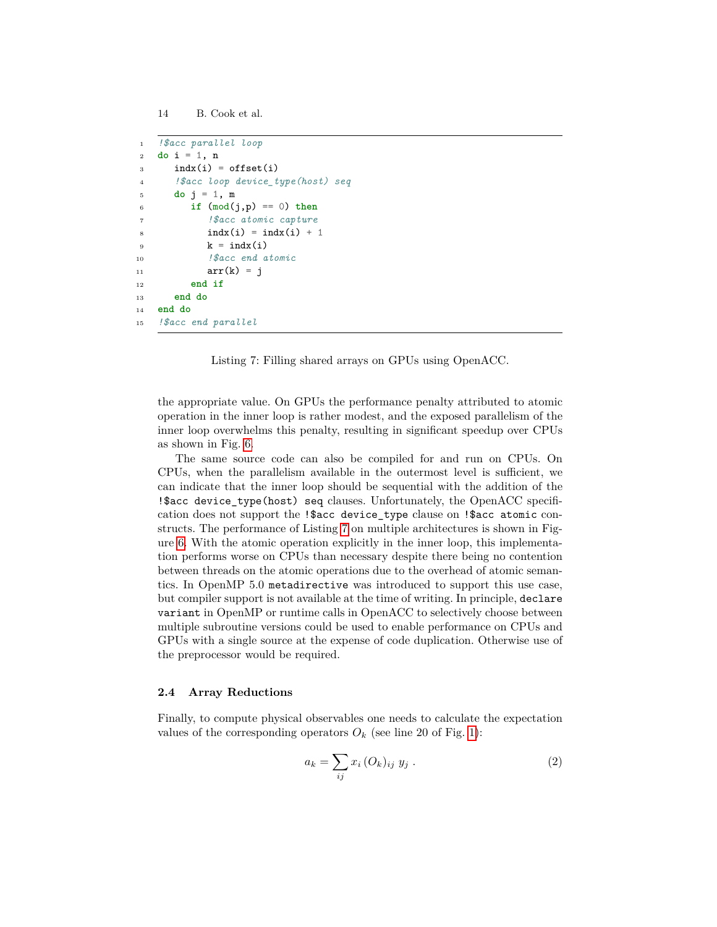```
14 B. Cook et al.
```

```
1 !$acc parallel loop
2 do i = 1, n
3 indx(i) = offset(i)
4 !$acc loop device_type(host) seq
5 do j = 1, m
6 if (mod(j,p) == 0) then
7 !$acc atomic capture
s indx(i) = indx(i) + 1
9 \qquad k = \text{ind}x(i)10 !$acc end atomic
11 \ar{r(k)} = j12 end if
13 end do
14 end do
15 !$acc end parallel
```
Listing 7: Filling shared arrays on GPUs using OpenACC.

<span id="page-13-1"></span>the appropriate value. On GPUs the performance penalty attributed to atomic operation in the inner loop is rather modest, and the exposed parallelism of the inner loop overwhelms this penalty, resulting in significant speedup over CPUs as shown in Fig. [6.](#page-14-0)

The same source code can also be compiled for and run on CPUs. On CPUs, when the parallelism available in the outermost level is sufficient, we can indicate that the inner loop should be sequential with the addition of the !\$acc device\_type(host) seq clauses. Unfortunately, the OpenACC specification does not support the !\$acc device\_type clause on !\$acc atomic constructs. The performance of Listing [7](#page-13-1) on multiple architectures is shown in Figure [6.](#page-14-0) With the atomic operation explicitly in the inner loop, this implementation performs worse on CPUs than necessary despite there being no contention between threads on the atomic operations due to the overhead of atomic semantics. In OpenMP 5.0 metadirective was introduced to support this use case, but compiler support is not available at the time of writing. In principle, declare variant in OpenMP or runtime calls in OpenACC to selectively choose between multiple subroutine versions could be used to enable performance on CPUs and GPUs with a single source at the expense of code duplication. Otherwise use of the preprocessor would be required.

#### <span id="page-13-0"></span>**2.4 Array Reductions**

Finally, to compute physical observables one needs to calculate the expectation values of the corresponding operators  $O_k$  (see line 20 of Fig. [1\)](#page-3-0):

$$
a_k = \sum_{ij} x_i (O_k)_{ij} y_j . \qquad (2)
$$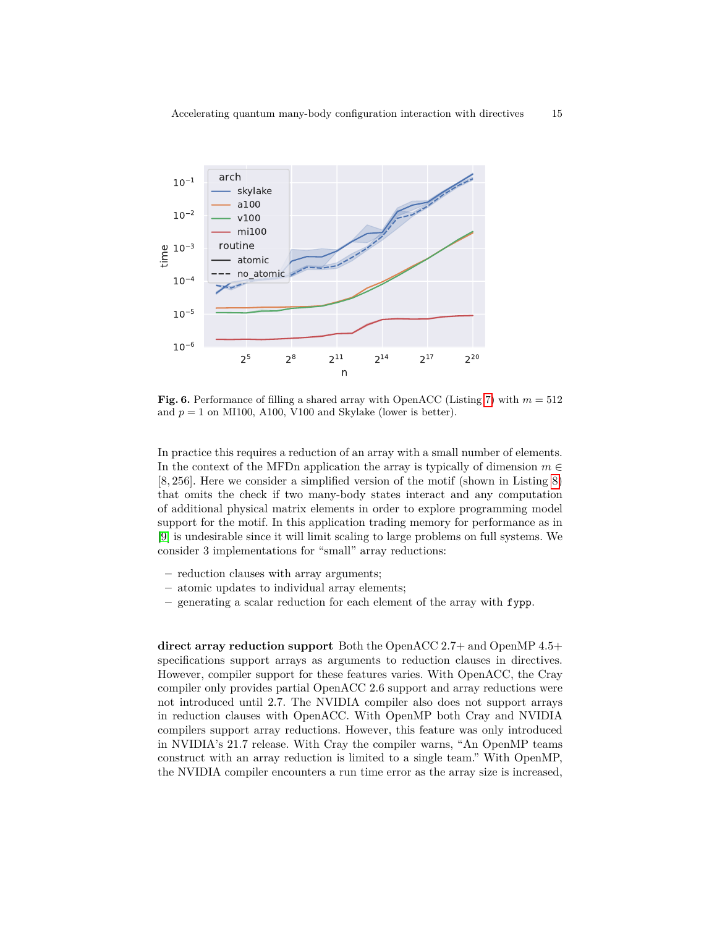

<span id="page-14-0"></span>**Fig. 6.** Performance of filling a shared array with OpenACC (Listing [7\)](#page-13-1) with  $m = 512$ and  $p = 1$  on MI100, A100, V100 and Skylake (lower is better).

In practice this requires a reduction of an array with a small number of elements. In the context of the MFDn application the array is typically of dimension  $m \in$ [8*,* 256]. Here we consider a simplified version of the motif (shown in Listing [8\)](#page-15-0) that omits the check if two many-body states interact and any computation of additional physical matrix elements in order to explore programming model support for the motif. In this application trading memory for performance as in [\[9\]](#page-21-11) is undesirable since it will limit scaling to large problems on full systems. We consider 3 implementations for "small" array reductions:

- **–** reduction clauses with array arguments;
- **–** atomic updates to individual array elements;
- **–** generating a scalar reduction for each element of the array with fypp.

**direct array reduction support** Both the OpenACC 2.7+ and OpenMP 4.5+ specifications support arrays as arguments to reduction clauses in directives. However, compiler support for these features varies. With OpenACC, the Cray compiler only provides partial OpenACC 2.6 support and array reductions were not introduced until 2.7. The NVIDIA compiler also does not support arrays in reduction clauses with OpenACC. With OpenMP both Cray and NVIDIA compilers support array reductions. However, this feature was only introduced in NVIDIA's 21.7 release. With Cray the compiler warns, "An OpenMP teams construct with an array reduction is limited to a single team." With OpenMP, the NVIDIA compiler encounters a run time error as the array size is increased,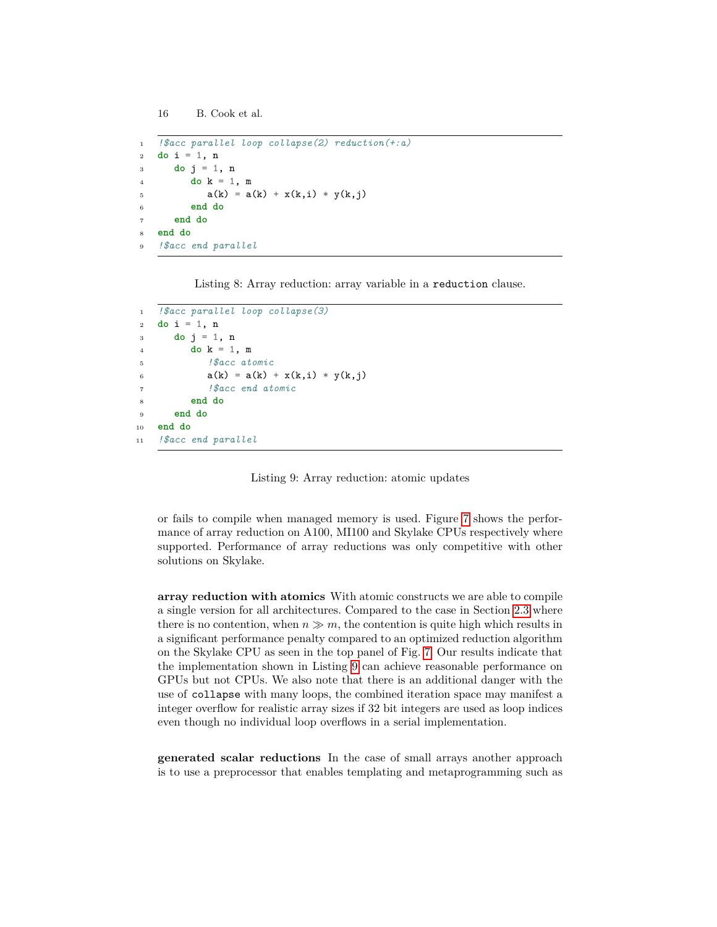```
16 B. Cook et al.
```

```
1 !$acc parallel loop collapse(2) reduction(+:a)
2 do i = 1, n
3 do j = 1, n
4 do k = 1, m
5 a(k) = a(k) + x(k,i) * y(k,j)6 end do
7 end do
8 end do
9 !$acc end parallel
```
<span id="page-15-0"></span>Listing 8: Array reduction: array variable in a reduction clause.

```
1 !$acc parallel loop collapse(3)
2 do i = 1, n3 do j = 1, n4 do k = 1, m
5 !$acc atomic
6 a(k) = a(k) + x(k,i) * y(k,j)7 !$acc end atomic
        8 end do
9 end do
10 end do
11 !$acc end parallel
```
Listing 9: Array reduction: atomic updates

<span id="page-15-1"></span>or fails to compile when managed memory is used. Figure [7](#page-16-0) shows the performance of array reduction on A100, MI100 and Skylake CPUs respectively where supported. Performance of array reductions was only competitive with other solutions on Skylake.

**array reduction with atomics** With atomic constructs we are able to compile a single version for all architectures. Compared to the case in Section [2.3](#page-12-0) where there is no contention, when  $n \gg m$ , the contention is quite high which results in a significant performance penalty compared to an optimized reduction algorithm on the Skylake CPU as seen in the top panel of Fig. [7.](#page-16-0) Our results indicate that the implementation shown in Listing [9](#page-15-1) can achieve reasonable performance on GPUs but not CPUs. We also note that there is an additional danger with the use of collapse with many loops, the combined iteration space may manifest a integer overflow for realistic array sizes if 32 bit integers are used as loop indices even though no individual loop overflows in a serial implementation.

**generated scalar reductions** In the case of small arrays another approach is to use a preprocessor that enables templating and metaprogramming such as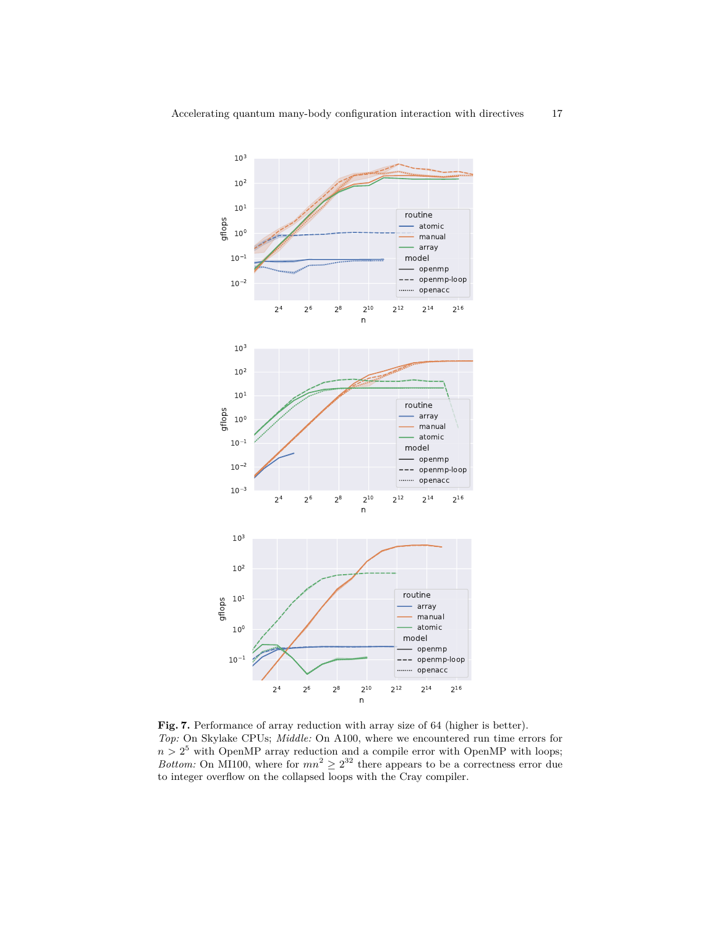

<span id="page-16-0"></span>**Fig. 7.** Performance of array reduction with array size of 64 (higher is better). *Top:* On Skylake CPUs; *Middle:* On A100, where we encountered run time errors for  $n > 2<sup>5</sup>$  with OpenMP array reduction and a compile error with OpenMP with loops; *Bottom:* On MI100, where for  $mn^2 \geq 2^{32}$  there appears to be a correctness error due to integer overflow on the collapsed loops with the Cray compiler.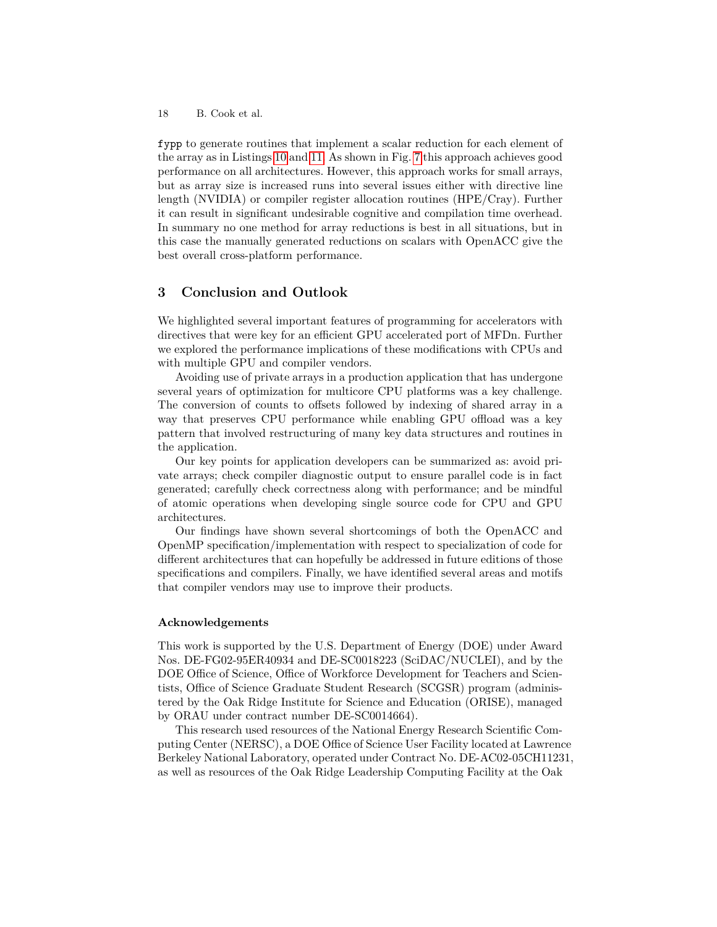fypp to generate routines that implement a scalar reduction for each element of the array as in Listings [10](#page-18-0) and [11.](#page-19-0) As shown in Fig. [7](#page-16-0) this approach achieves good performance on all architectures. However, this approach works for small arrays, but as array size is increased runs into several issues either with directive line length (NVIDIA) or compiler register allocation routines (HPE/Cray). Further it can result in significant undesirable cognitive and compilation time overhead. In summary no one method for array reductions is best in all situations, but in this case the manually generated reductions on scalars with OpenACC give the best overall cross-platform performance.

## **3 Conclusion and Outlook**

We highlighted several important features of programming for accelerators with directives that were key for an efficient GPU accelerated port of MFDn. Further we explored the performance implications of these modifications with CPUs and with multiple GPU and compiler vendors.

Avoiding use of private arrays in a production application that has undergone several years of optimization for multicore CPU platforms was a key challenge. The conversion of counts to offsets followed by indexing of shared array in a way that preserves CPU performance while enabling GPU offload was a key pattern that involved restructuring of many key data structures and routines in the application.

Our key points for application developers can be summarized as: avoid private arrays; check compiler diagnostic output to ensure parallel code is in fact generated; carefully check correctness along with performance; and be mindful of atomic operations when developing single source code for CPU and GPU architectures.

Our findings have shown several shortcomings of both the OpenACC and OpenMP specification/implementation with respect to specialization of code for different architectures that can hopefully be addressed in future editions of those specifications and compilers. Finally, we have identified several areas and motifs that compiler vendors may use to improve their products.

#### **Acknowledgements**

This work is supported by the U.S. Department of Energy (DOE) under Award Nos. DE-FG02-95ER40934 and DE-SC0018223 (SciDAC/NUCLEI), and by the DOE Office of Science, Office of Workforce Development for Teachers and Scientists, Office of Science Graduate Student Research (SCGSR) program (administered by the Oak Ridge Institute for Science and Education (ORISE), managed by ORAU under contract number DE-SC0014664).

This research used resources of the National Energy Research Scientific Computing Center (NERSC), a DOE Office of Science User Facility located at Lawrence Berkeley National Laboratory, operated under Contract No. DE-AC02-05CH11231, as well as resources of the Oak Ridge Leadership Computing Facility at the Oak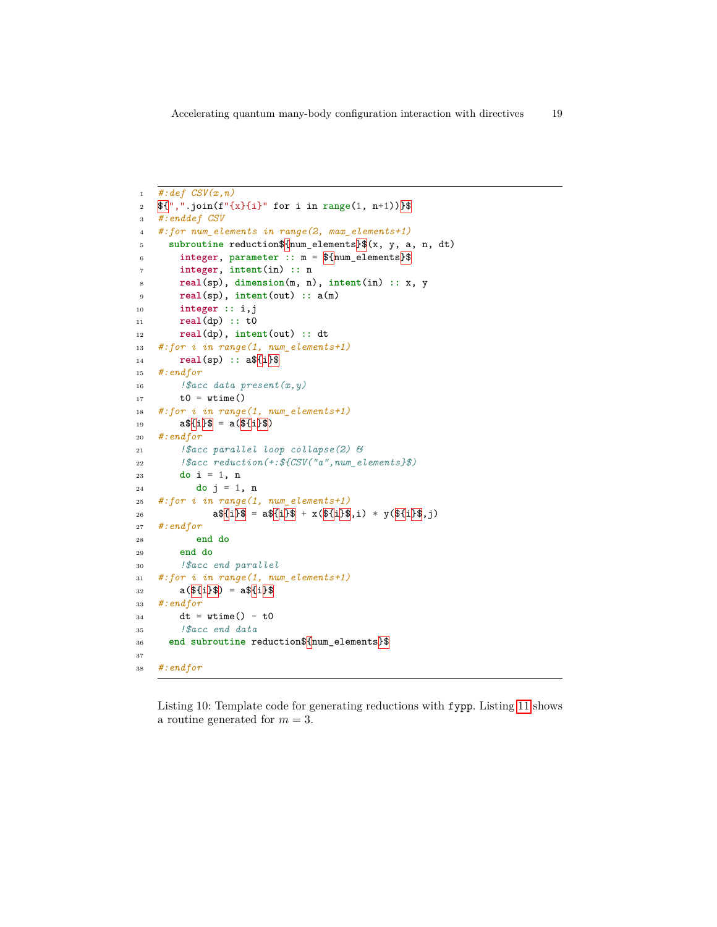```
1 #:def CSV(x,n)
 2 \mathfrak{F}\{\cdot\,,\cdot\,,\cdot\,\text{join}(f''\{x\}\{i\}'' \text{ for } i \text{ in } range(1, n+1))\}3 #:enddef CSV
 4 #:for num_elements in range(2, max_elements+1)
 5 subroutine reduction$ {\mum_elements \Ref{\same (x, y, a, n, dt)
 \overline{\phantom{a}} integer, parameter \overline{\phantom{a}} : \overline{\phantom{a}} = \overline{\phantom{a}} \overline{\phantom{a}} \overline{\phantom{a}} = \overline{\phantom{a}} \overline{\phantom{a}} \overline{\phantom{a}} = \overline{\phantom{a}} \overline{\phantom{a}} = \overline{\phantom{a}} \overline{\phantom{a}} = \overline{\phantom{a}} = \overline{\phantom{a}} = \overline{\phant7 integer, intent(in) :: n
 8 real(sp), dimension(m, n), intent(in) :: x, y
 9 real(sp), intent(out) :: a(m)
10 integer :: i,j
11 real(dp) :: t0
12 real(dp), intent(out) :: dt
13 #:for i in range(1, num_elements+1)
14 real(sp) :: a${i}$
15 #:endfor
16 !$acc data present(x,y)
17 t0 = wtime()
18 #:for i in range(1, num_elements+1)
19 a\sqrt[3]{\{i\}\}\ = a(\sqrt[3]{\{i\}\}\})20 #:endfor
21 !$acc parallel loop collapse(2) &
22 !$acc reduction(+:${CSV("a",num_elements}$)
23 do i = 1, n
24 do j = 1, n
25 #:for i in range(1, num_elements+1)
26 a${i}$ = a${i}$ + x(${i}$,i) * y(${i}$,j)
27 #:endfor
28 end do
29 end do
30 !$acc end parallel
31 #:for i in range(1, num_elements+1)
32 a(\sqrt{3}i) = a\sqrt[3]{i}33 #:endfor
34 dt = wtime() - t0
35 !$acc end data
36 end subroutine reduction$ {\frac{\text{num}}{\text{elements}}}37
38 #:endfor
```
<span id="page-18-0"></span>Listing 10: Template code for generating reductions with fypp. Listing [11](#page-19-0) shows a routine generated for *m* = 3.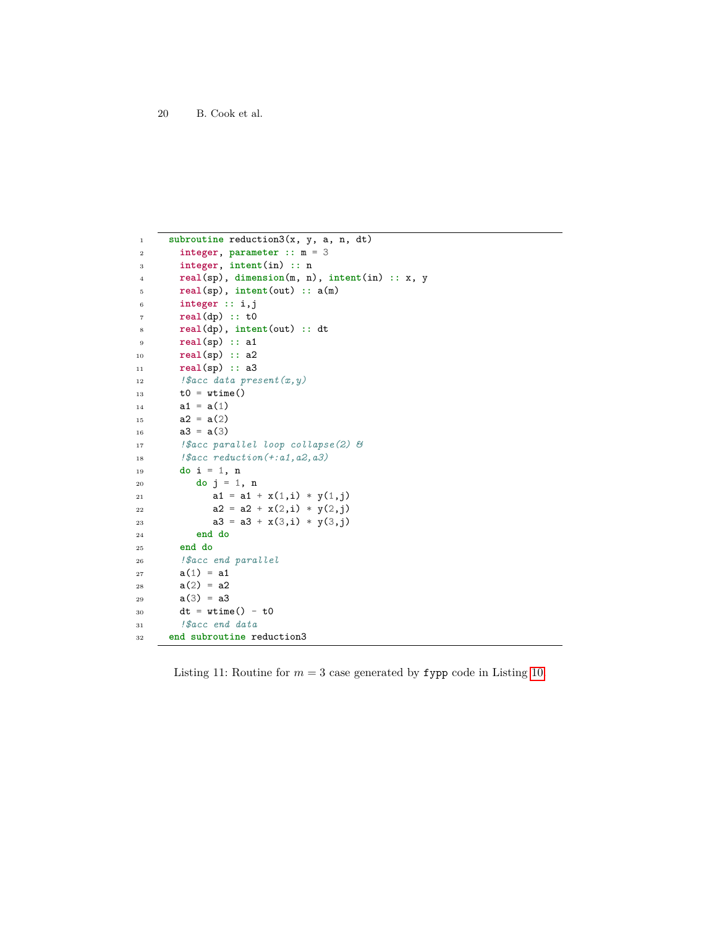```
1 subroutine reduction3(x, y, a, n, dt)
2 integer, parameter :: m = 3
3 integer, intent(in) :: n
4 real(sp), dimension(m, n), intent(in) :: x, y
5 real(sp), intent(out) :: a(m)
6 integer :: i,j
7 real(dp) :: t0
8 real(dp), intent(out) :: dt
9 real(sp) :: a1
10 real(sp) :: a2
11 real(sp) :: a3
12 !$acc data present(x,y)
13 t0 = wtime()
14 a1 = a(1)15 a2 = a(2)16 a3 = a(3)17 !$acc parallel loop collapse(2) &
18 !$acc reduction(+:a1,a2,a3)
19 do i = 1, n
20 do j = 1, n
21 a1 = a1 + x(1,i) * y(1,j)22 a2 = a2 + x(2,i) * y(2,j)23 a3 = a3 + x(3,i) * y(3,j)24 end do
25 end do
26 !$acc end parallel
27 a(1) = a128 a(2) = a229 a(3) = a330 dt = wtime() - t0
31 !$acc end data
32 end subroutine reduction3
```
<span id="page-19-0"></span>Listing 11: Routine for  $m = 3$  case generated by **fypp** code in Listing [10.](#page-18-0)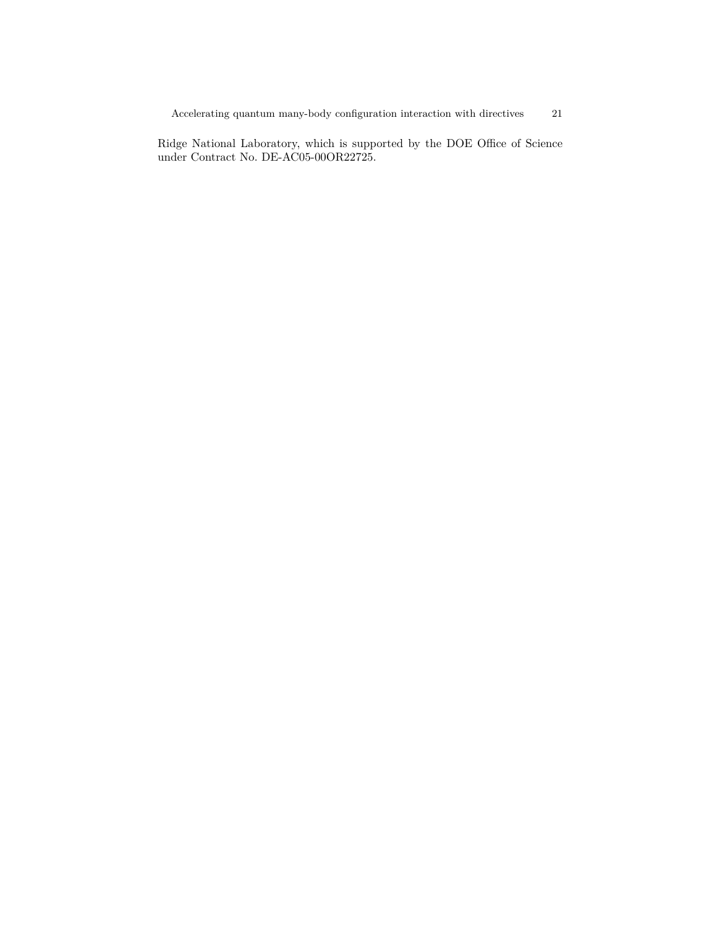Ridge National Laboratory, which is supported by the DOE Office of Science under Contract No. DE-AC05-00OR22725.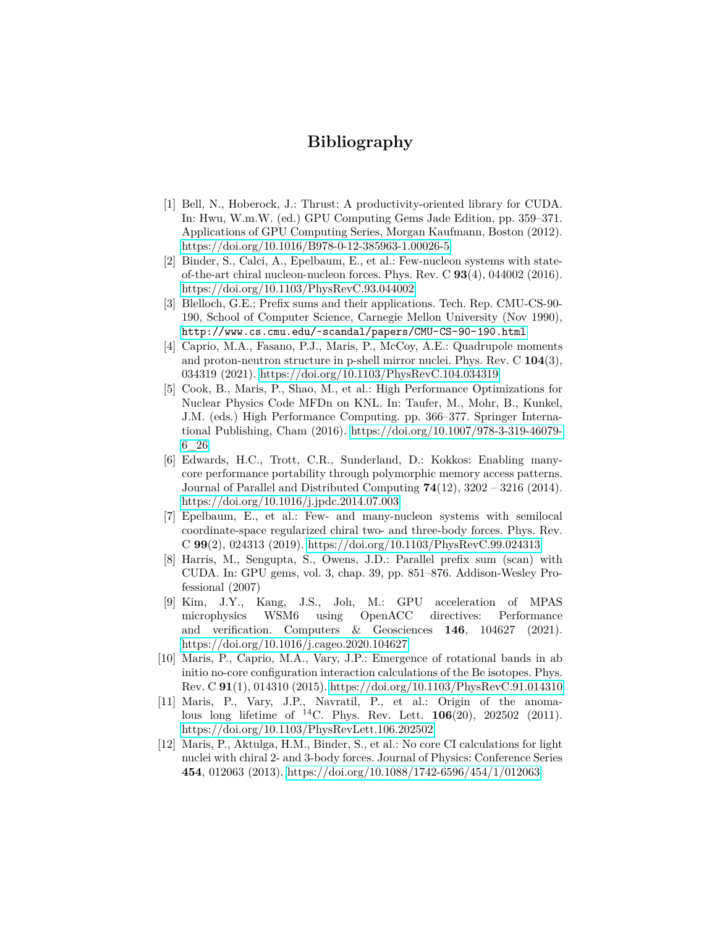# **Bibliography**

- <span id="page-21-9"></span>[1] Bell, N., Hoberock, J.: Thrust: A productivity-oriented library for CUDA. In: Hwu, W.m.W. (ed.) GPU Computing Gems Jade Edition, pp. 359–371. Applications of GPU Computing Series, Morgan Kaufmann, Boston (2012). <https://doi.org/10.1016/B978-0-12-385963-1.00026-5>
- <span id="page-21-0"></span>[2] Binder, S., Calci, A., Epelbaum, E., et al.: Few-nucleon systems with stateof-the-art chiral nucleon-nucleon forces. Phys. Rev. C **93**(4), 044002 (2016). <https://doi.org/10.1103/PhysRevC.93.044002>
- <span id="page-21-10"></span>[3] Blelloch, G.E.: Prefix sums and their applications. Tech. Rep. CMU-CS-90- 190, School of Computer Science, Carnegie Mellon University (Nov 1990), <http://www.cs.cmu.edu/~scandal/papers/CMU-CS-90-190.html>
- <span id="page-21-3"></span>[4] Caprio, M.A., Fasano, P.J., Maris, P., McCoy, A.E.: Quadrupole moments and proton-neutron structure in p-shell mirror nuclei. Phys. Rev. C **104**(3), 034319 (2021).<https://doi.org/10.1103/PhysRevC.104.034319>
- <span id="page-21-4"></span>[5] Cook, B., Maris, P., Shao, M., et al.: High Performance Optimizations for Nuclear Physics Code MFDn on KNL. In: Taufer, M., Mohr, B., Kunkel, J.M. (eds.) High Performance Computing. pp. 366–377. Springer International Publishing, Cham (2016). [https://doi.org/10.1007/978-3-319-46079-](https://doi.org/{10.1007/978-3-319-46079-6_26}) [6\\_26](https://doi.org/{10.1007/978-3-319-46079-6_26})
- <span id="page-21-8"></span>[6] Edwards, H.C., Trott, C.R., Sunderland, D.: Kokkos: Enabling manycore performance portability through polymorphic memory access patterns. Journal of Parallel and Distributed Computing **74**(12), 3202 – 3216 (2014). <https://doi.org/10.1016/j.jpdc.2014.07.003>
- <span id="page-21-5"></span>[7] Epelbaum, E., et al.: Few- and many-nucleon systems with semilocal coordinate-space regularized chiral two- and three-body forces. Phys. Rev. C **99**(2), 024313 (2019).<https://doi.org/10.1103/PhysRevC.99.024313>
- <span id="page-21-7"></span>[8] Harris, M., Sengupta, S., Owens, J.D.: Parallel prefix sum (scan) with CUDA. In: GPU gems, vol. 3, chap. 39, pp. 851–876. Addison-Wesley Professional (2007)
- <span id="page-21-11"></span>[9] Kim, J.Y., Kang, J.S., Joh, M.: GPU acceleration of MPAS microphysics WSM6 using OpenACC directives: Performance and verification. Computers & Geosciences **146**, 104627 (2021). <https://doi.org/10.1016/j.cageo.2020.104627>
- <span id="page-21-1"></span>[10] Maris, P., Caprio, M.A., Vary, J.P.: Emergence of rotational bands in ab initio no-core configuration interaction calculations of the Be isotopes. Phys. Rev. C **91**(1), 014310 (2015).<https://doi.org/10.1103/PhysRevC.91.014310>
- <span id="page-21-2"></span>[11] Maris, P., Vary, J.P., Navratil, P., et al.: Origin of the anomalous long lifetime of <sup>14</sup>C. Phys. Rev. Lett. **106**(20), 202502 (2011). <https://doi.org/10.1103/PhysRevLett.106.202502>
- <span id="page-21-6"></span>[12] Maris, P., Aktulga, H.M., Binder, S., et al.: No core CI calculations for light nuclei with chiral 2- and 3-body forces. Journal of Physics: Conference Series **454**, 012063 (2013).<https://doi.org/10.1088/1742-6596/454/1/012063>